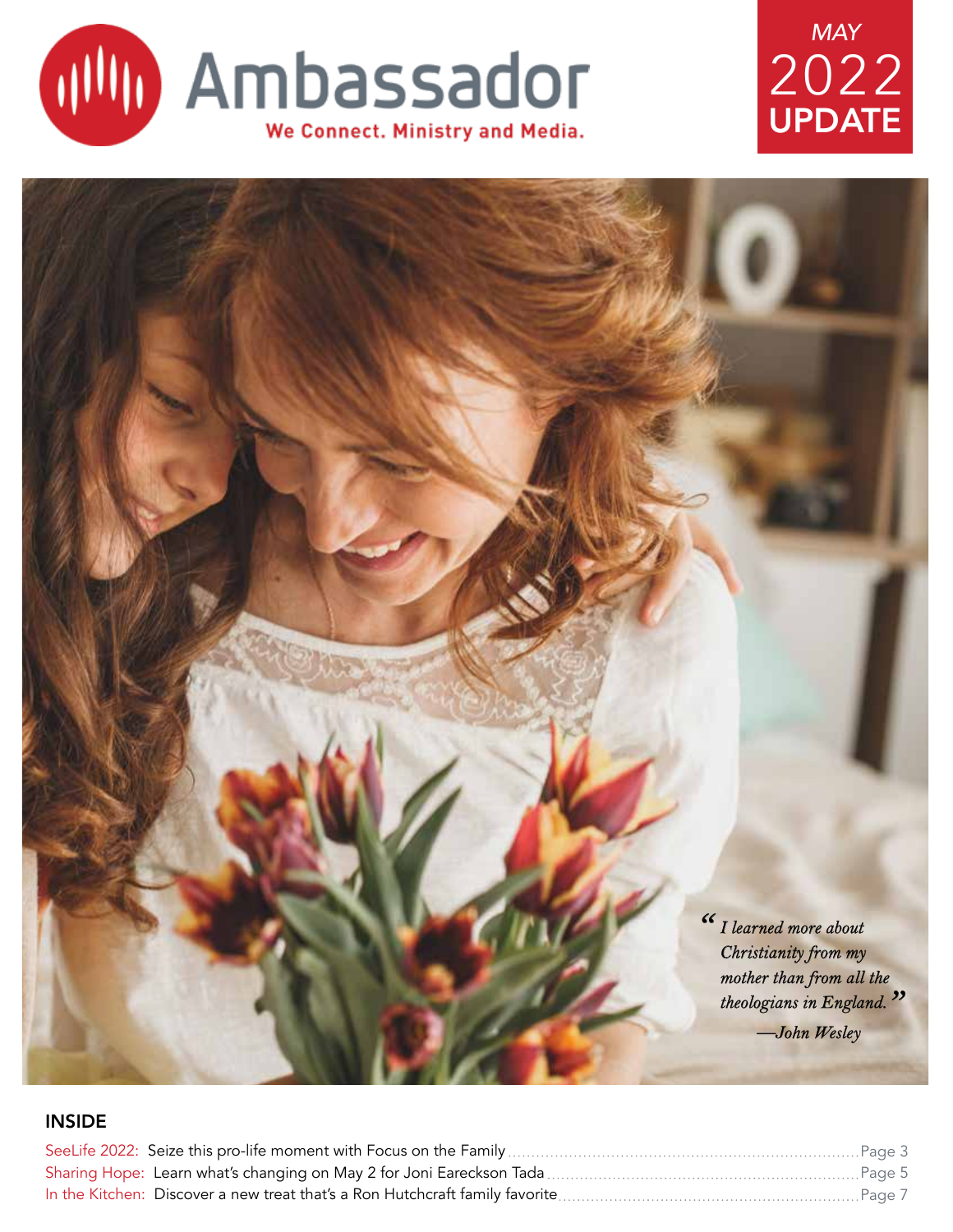

## UPDATE *MAY* 2022

<sup>*I*</sup> *I learned more about*<br>*Christianity from my Christianity from my mother than from all the theologians in England. " —John Wesley*

### INSIDE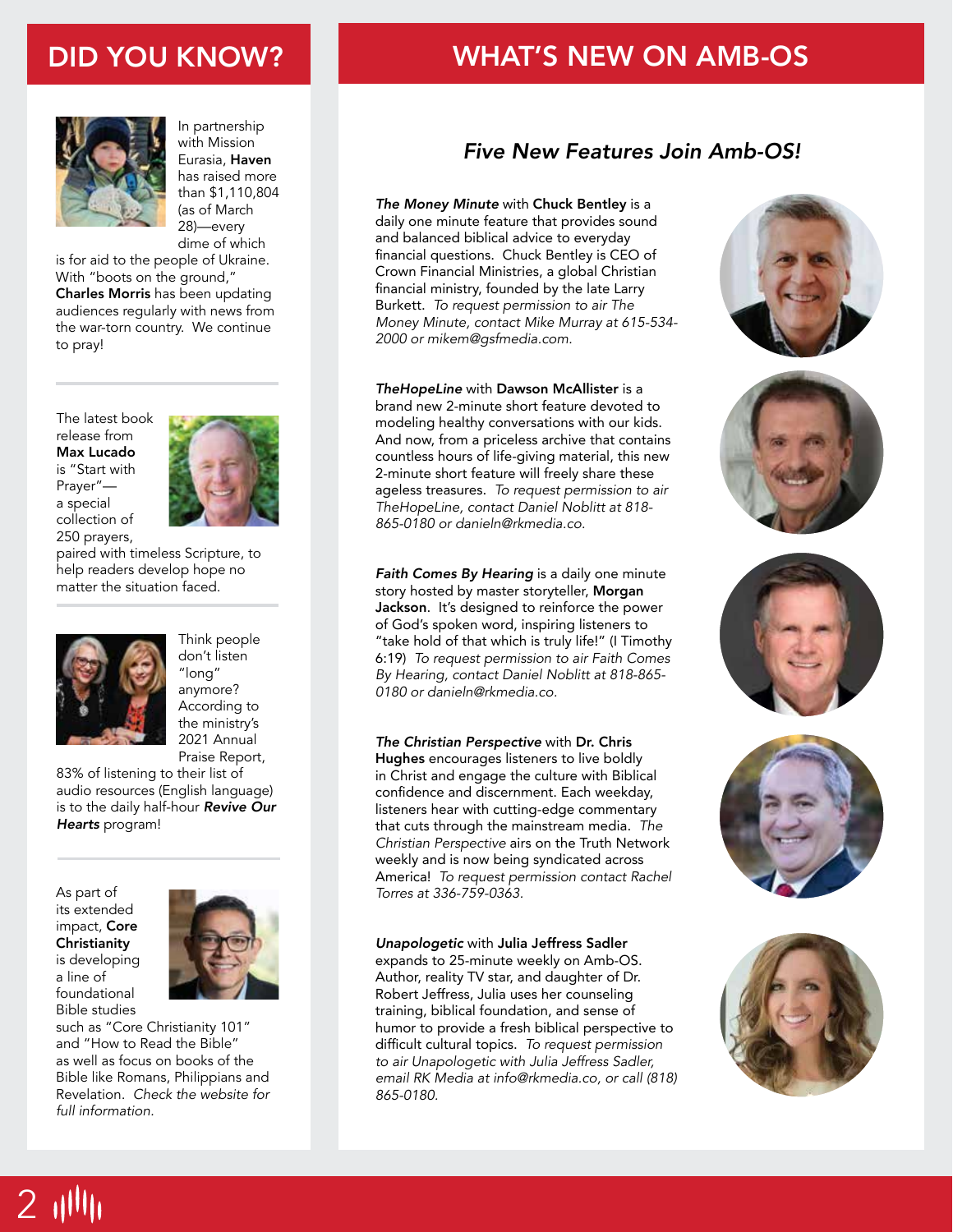## DID YOU KNOW?



In partnership with Mission Eurasia, Haven has raised more than \$1,110,804 (as of March 28)—every dime of which

is for aid to the people of Ukraine. With "boots on the ground," Charles Morris has been updating audiences regularly with news from the war-torn country. We continue to pray!

The latest book release from Max Lucado is "Start with Prayer" a special collection of 250 prayers,



paired with timeless Scripture, to help readers develop hope no matter the situation faced.



Think people don't listen "long" anymore? According to the ministry's 2021 Annual Praise Report,

83% of listening to their list of audio resources (English language) is to the daily half-hour *Revive Our Hearts* program!

As part of its extended impact, Core **Christianity** is developing a line of foundational Bible studies



such as "Core Christianity 101" and "How to Read the Bible" as well as focus on books of the Bible like Romans, Philippians and Revelation. *Check the website for full information.*

## WHAT'S NEW ON AMB-OS

## *Five New Features Join Amb-OS!*

*The Money Minute* with Chuck Bentley is a daily one minute feature that provides sound and balanced biblical advice to everyday financial questions. Chuck Bentley is CEO of Crown Financial Ministries, a global Christian financial ministry, founded by the late Larry Burkett. *To request permission to air The Money Minute, contact Mike Murray at 615-534- 2000 or mikem@gsfmedia.com.*

#### *TheHopeLine* with Dawson McAllister is a

brand new 2-minute short feature devoted to modeling healthy conversations with our kids. And now, from a priceless archive that contains countless hours of life-giving material, this new 2-minute short feature will freely share these ageless treasures. *To request permission to air TheHopeLine, contact Daniel Noblitt at 818- 865-0180 or danieln@rkmedia.co.*

*Faith Comes By Hearing* is a daily one minute story hosted by master storyteller, Morgan Jackson. It's designed to reinforce the power of God's spoken word, inspiring listeners to "take hold of that which is truly life!" (I Timothy 6:19) *To request permission to air Faith Comes By Hearing, contact Daniel Noblitt at 818-865- 0180 or danieln@rkmedia.co.*

#### *The Christian Perspective* with Dr. Chris

Hughes encourages listeners to live boldly in Christ and engage the culture with Biblical confidence and discernment. Each weekday, listeners hear with cutting-edge commentary that cuts through the mainstream media. *The Christian Perspective* airs on the Truth Network weekly and is now being syndicated across America! *To request permission contact Rachel Torres at 336-759-0363.*

#### *Unapologetic* with Julia Jeffress Sadler

expands to 25-minute weekly on Amb-OS. Author, reality TV star, and daughter of Dr. Robert Jeffress, Julia uses her counseling training, biblical foundation, and sense of humor to provide a fresh biblical perspective to difficult cultural topics. *To request permission to air Unapologetic with Julia Jeffress Sadler, email RK Media at info@rkmedia.co, or call (818) 865-0180.* 











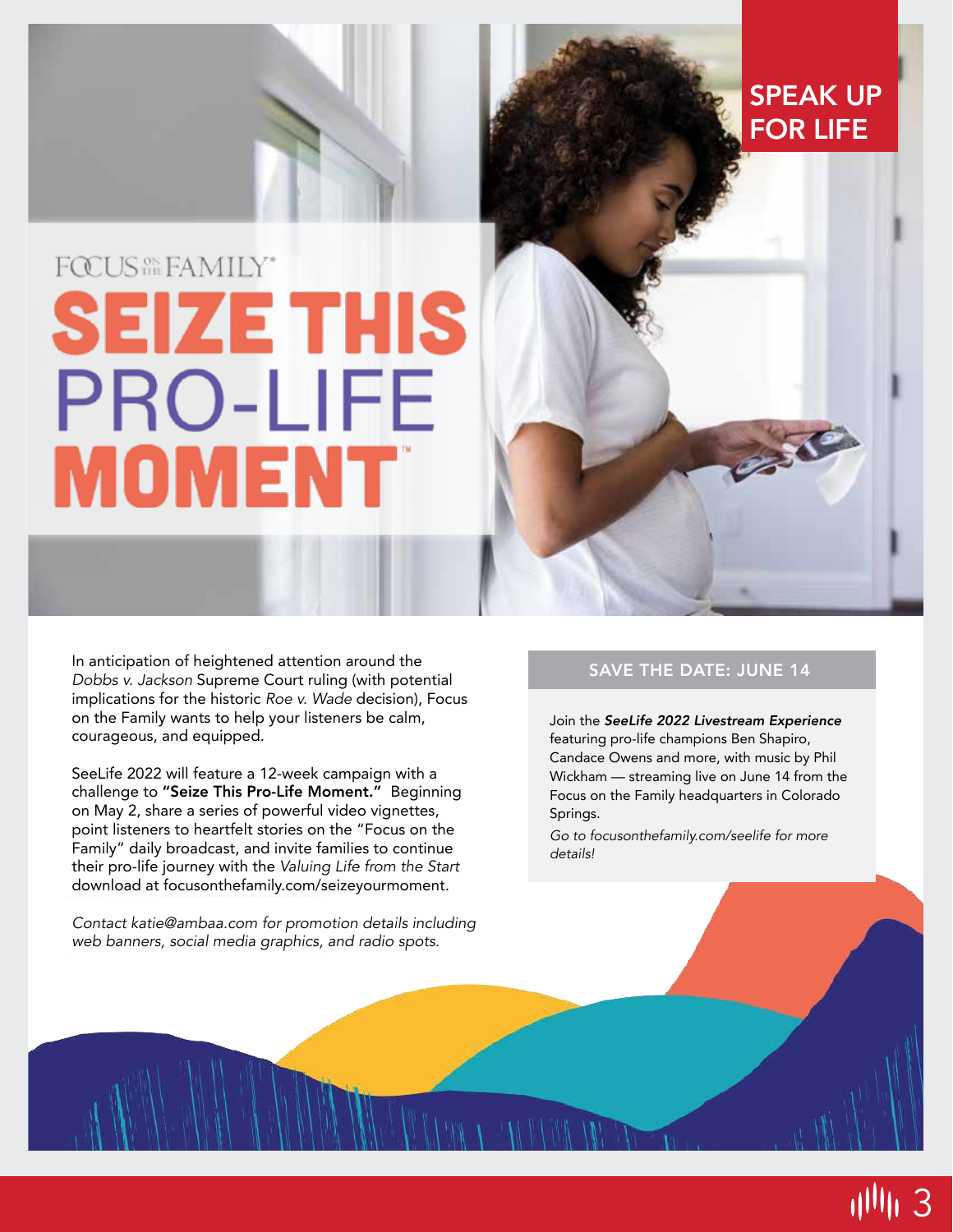# FOCUS<sup>SN</sup>SEAMILY\* **SEIZE THIS PRO-LIFE MOMENT**

In anticipation of heightened attention around the *Dobbs v. Jackson* Supreme Court ruling (with potential implications for the historic *Roe v. Wade* decision), Focus on the Family wants to help your listeners be calm, courageous, and equipped.

SeeLife 2022 will feature a 12-week campaign with a challenge to "Seize This Pro-Life Moment." Beginning on May 2, share a series of powerful video vignettes, point listeners to heartfelt stories on the "Focus on the Family" daily broadcast, and invite families to continue their pro-life journey with the *Valuing Life from the Start*  download at focusonthefamily.com/seizeyourmoment.

*Contact katie@ambaa.com for promotion details including web banners, social media graphics, and radio spots.*

#### SAVE THE DATE: JUNE 14

SPEAK UP

FOR LIFE

250

Join the *SeeLife 2022 Livestream Experience*  featuring pro-life champions Ben Shapiro, Candace Owens and more, with music by Phil Wickham — streaming live on June 14 from the Focus on the Family headquarters in Colorado Springs.

*Go to focusonthefamily.com/seelife for more details!*

3 اااااا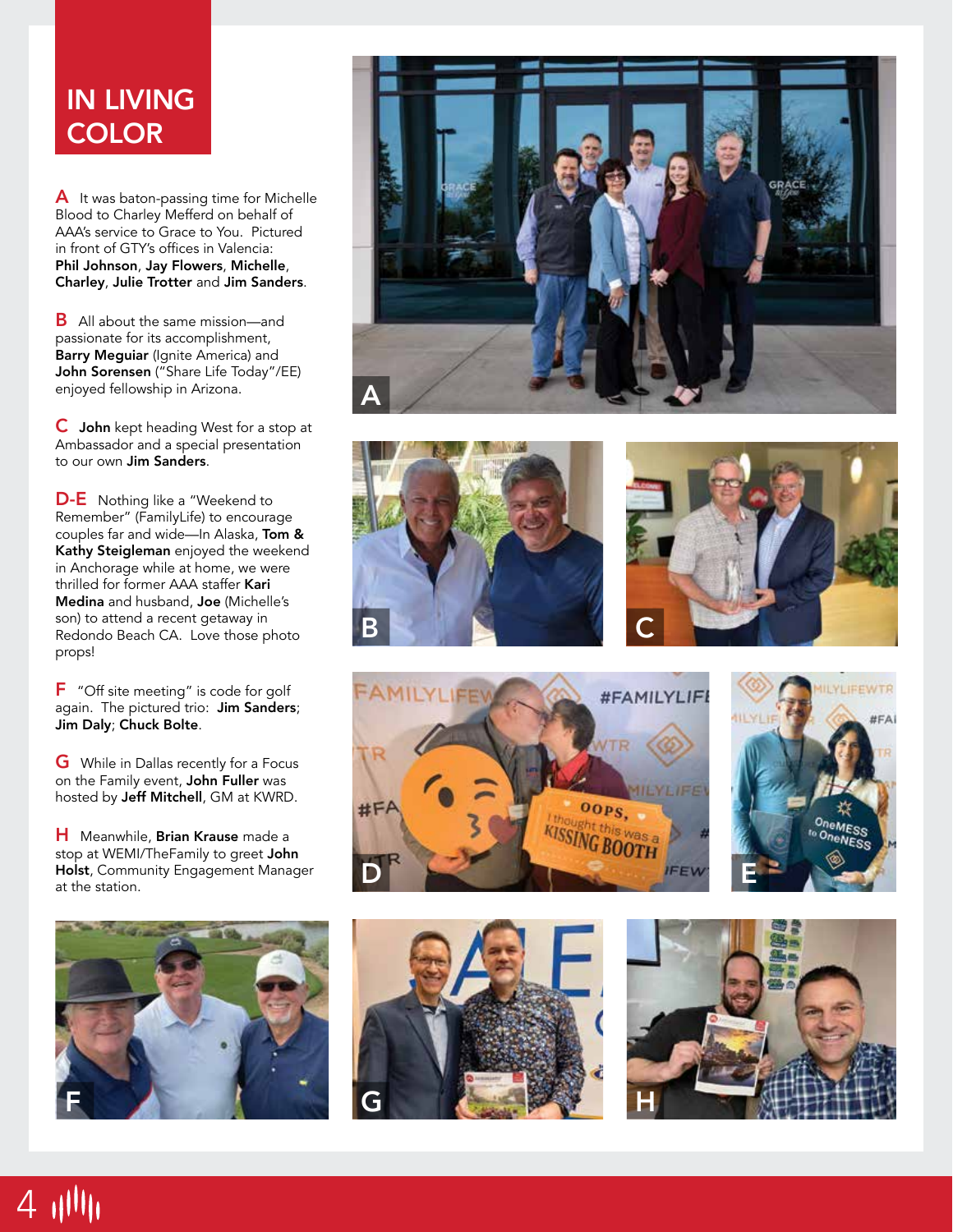## IN LIVING **COLOR**

A It was baton-passing time for Michelle Blood to Charley Mefferd on behalf of AAA's service to Grace to You. Pictured in front of GTY's offices in Valencia: Phil Johnson , Jay Flowers , Michelle , Charley , Julie Trotter and Jim Sanders .

**B** All about the same mission—and passionate for its accomplishment, Barry Meguiar (Ignite America) and John Sorensen ("Share Life Today"/EE) enjoyed fellowship in Arizona.

C John kept heading West for a stop at Ambassador and a special presentation to our own **Jim Sanders**.

**D-E** Nothing like a "Weekend to Remember" (FamilyLife) to encourage couples far and wide—In Alaska, Tom & Kathy Steigleman enjoyed the weekend in Anchorage while at home, we were thrilled for former AAA staffer Kari Medina and husband, Joe (Michelle's son) to attend a recent getaway in Redondo Beach CA. Love those photo props!

F "Off site meeting" is code for golf again. The pictured trio: Jim Sanders; Jim Daly ; Chuck Bolte .

G While in Dallas recently for a Focus on the Family event, John Fuller was hosted by Jeff Mitchell, GM at KWRD.

H Meanwhile, Brian Krause made a stop at WEMI/TheFamily to greet John Holst, Community Engagement Manager at the station.



4 11111













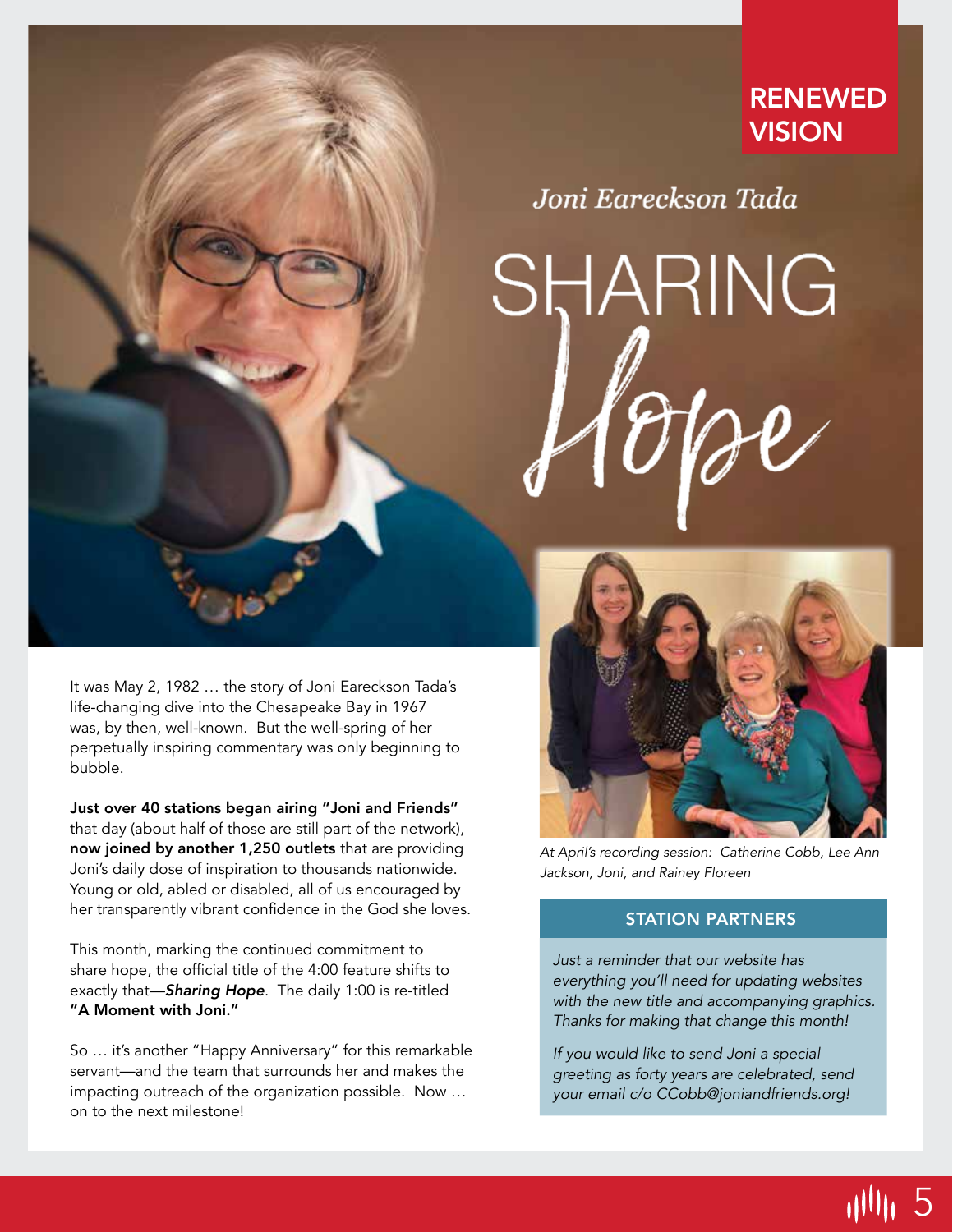## RENEWED **VISION**

Joni Eareckson Tada

SHARING

It was May 2, 1982 … the story of Joni Eareckson Tada's life-changing dive into the Chesapeake Bay in 1967 was, by then, well-known. But the well-spring of her perpetually inspiring commentary was only beginning to bubble.

Just over 40 stations began airing "Joni and Friends" that day (about half of those are still part of the network), now joined by another 1,250 outlets that are providing Joni's daily dose of inspiration to thousands nationwide. Young or old, abled or disabled, all of us encouraged by her transparently vibrant confidence in the God she loves.

This month, marking the continued commitment to share hope, the official title of the 4:00 feature shifts to exactly that—*Sharing Hope.* The daily 1:00 is re-titled "A Moment with Joni."

So … it's another "Happy Anniversary" for this remarkable servant—and the team that surrounds her and makes the impacting outreach of the organization possible. Now … on to the next milestone!



*At April's recording session: Catherine Cobb, Lee Ann Jackson, Joni, and Rainey Floreen*

#### STATION PARTNERS

*Just a reminder that our website has everything you'll need for updating websites with the new title and accompanying graphics. Thanks for making that change this month!*

*If you would like to send Joni a special greeting as forty years are celebrated, send your email c/o CCobb@joniandfriends.org!*

illlin 5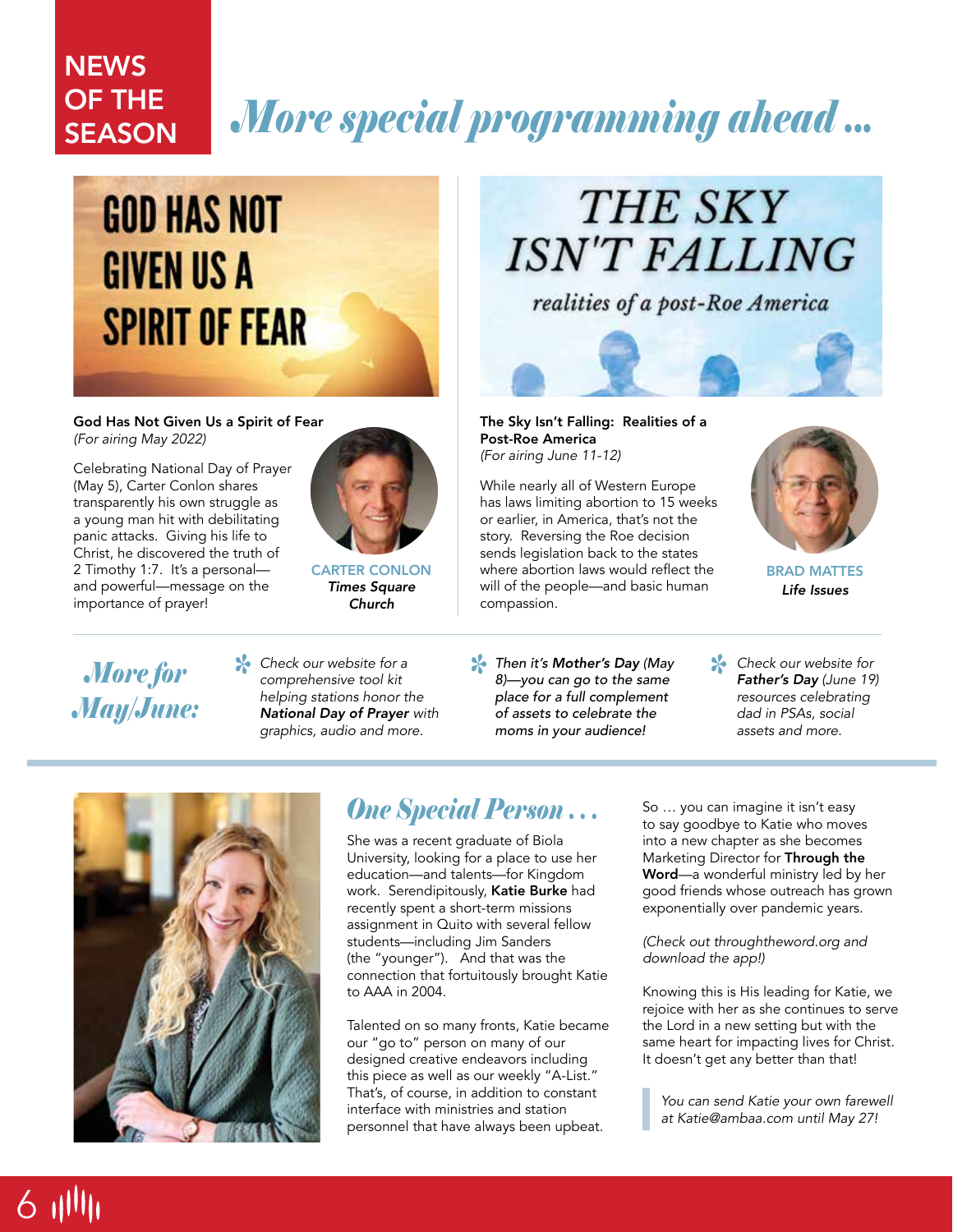### *More special programming ahead ...* **NEWS** OF THE **SEASON**

# **GOD HAS NOT GIVEN US A SPIRIT OF FEAR**

God Has Not Given Us a Spirit of Fear *(For airing May 2022)*

Celebrating National Day of Prayer (May 5), Carter Conlon shares transparently his own struggle as a young man hit with debilitating panic attacks. Giving his life to Christ, he discovered the truth of 2 Timothy 1:7. It's a personal and powerful—message on the importance of prayer!



CARTER CONLON *Times Square Church*

# THE SKY **ISN'T FALLING**

realities of a post-Roe America



The Sky Isn't Falling: Realities of a Post-Roe America *(For airing June 11-12)*

While nearly all of Western Europe has laws limiting abortion to 15 weeks or earlier, in America, that's not the story. Reversing the Roe decision sends legislation back to the states where abortion laws would reflect the will of the people—and basic human compassion.



BRAD MATTES *Life Issues*

*More for May/June:*

6 1111

*Check our website for a comprehensive tool kit helping stations honor the National Day of Prayer with graphics, audio and more.*

*Then it's Mother's Day (May 8* Check our website for a<br>
comprehensive tool kit and a *s a s a m s mothers* Day (*May*<br> *s helping stations honor the*<br> *helping stations honor the*<br> *helping stations honor the place for a full complement of assets to celebrate the moms in your audience!*

*Check our website for Father's Day (June 19) resources celebrating dad in PSAs, social assets and more.*



## *One Special Person . . .*

She was a recent graduate of Biola University, looking for a place to use her education—and talents—for Kingdom work. Serendipitously, Katie Burke had recently spent a short-term missions assignment in Quito with several fellow students—including Jim Sanders (the "younger"). And that was the connection that fortuitously brought Katie to AAA in 2004.

Talented on so many fronts, Katie became our "go to" person on many of our designed creative endeavors including this piece as well as our weekly "A-List." That's, of course, in addition to constant interface with ministries and station personnel that have always been upbeat.

So … you can imagine it isn't easy to say goodbye to Katie who moves into a new chapter as she becomes Marketing Director for Through the Word—a wonderful ministry led by her good friends whose outreach has grown exponentially over pandemic years.

*(Check out throughtheword.org and download the app!)*

Knowing this is His leading for Katie, we rejoice with her as she continues to serve the Lord in a new setting but with the same heart for impacting lives for Christ. It doesn't get any better than that!

*You can send Katie your own farewell at Katie@ambaa.com until May 27!*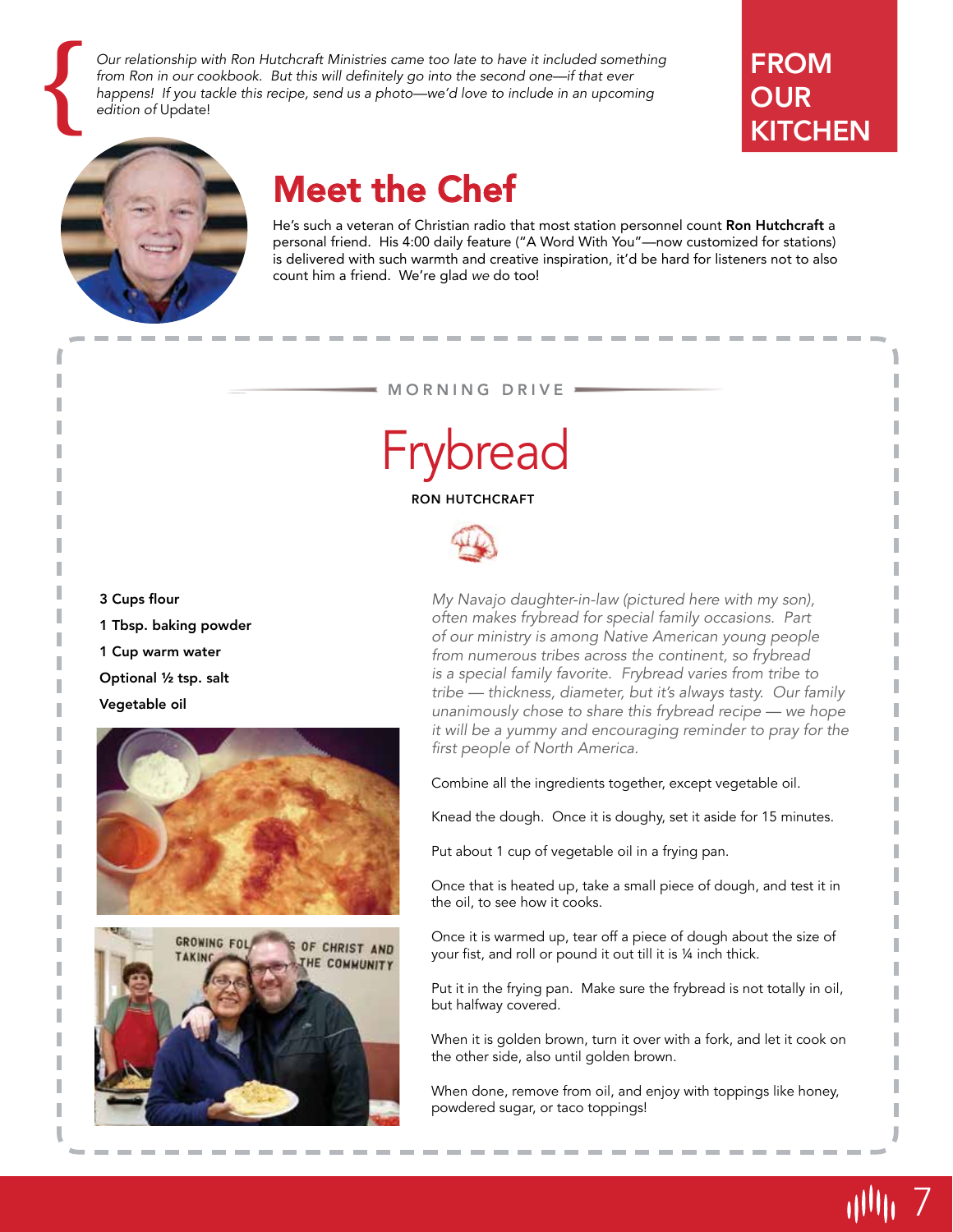*Our relationship with Ron Hutchcraft Ministries came too late to have it included something*  from Ron in our cookbook. But this will definitely go into the second one—if that ever Our relationship with Ron Hutchcraft Ministries came too late to have it included somethin from Ron in our cookbook. But this will definitely go into the second one—if that ever happens! If you tackle this recipe, send us

## **FROM OUR KITCHEN**



## Meet the Chef

He's such a veteran of Christian radio that most station personnel count Ron Hutchcraft a personal friend. His 4:00 daily feature ("A Word With You"—now customized for stations) is delivered with such warmth and creative inspiration, it'd be hard for listeners not to also count him a friend. We're glad *we* do too!

#### MORNING DRIVE



RON HUTCHCRAFT



3 Cups flour

1 Tbsp. baking powder

1 Cup warm water

Optional ½ tsp. salt

Vegetable oil





*My Navajo daughter-in-law (pictured here with my son), often makes frybread for special family occasions. Part of our ministry is among Native American young people from numerous tribes across the continent, so frybread is a special family favorite. Frybread varies from tribe to*  tribe — thickness, diameter, but it's always tasty. Our family unanimously chose to share this frybread recipe — we hope *it will be a yummy and encouraging reminder to pray for the first people of North America.* 

Combine all the ingredients together, except vegetable oil.

Knead the dough. Once it is doughy, set it aside for 15 minutes.

Put about 1 cup of vegetable oil in a frying pan.

Once that is heated up, take a small piece of dough, and test it in the oil, to see how it cooks.

Once it is warmed up, tear off a piece of dough about the size of your fist, and roll or pound it out till it is ¼ inch thick.

Put it in the frying pan. Make sure the frybread is not totally in oil, but halfway covered.

When it is golden brown, turn it over with a fork, and let it cook on the other side, also until golden brown.

When done, remove from oil, and enjoy with toppings like honey, powdered sugar, or taco toppings!

7